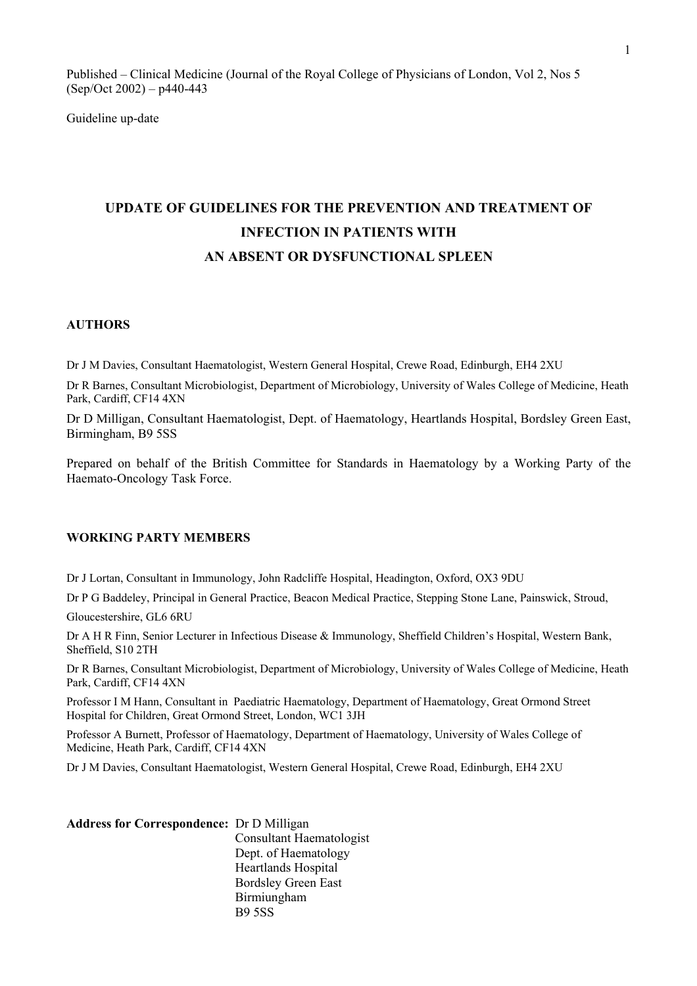Published – Clinical Medicine (Journal of the Royal College of Physicians of London, Vol 2, Nos 5 (Sep/Oct 2002) – p440-443

Guideline up-date

# **UPDATE OF GUIDELINES FOR THE PREVENTION AND TREATMENT OF INFECTION IN PATIENTS WITH AN ABSENT OR DYSFUNCTIONAL SPLEEN**

#### **AUTHORS**

Dr J M Davies, Consultant Haematologist, Western General Hospital, Crewe Road, Edinburgh, EH4 2XU

Dr R Barnes, Consultant Microbiologist, Department of Microbiology, University of Wales College of Medicine, Heath Park, Cardiff, CF14 4XN

Dr D Milligan, Consultant Haematologist, Dept. of Haematology, Heartlands Hospital, Bordsley Green East, Birmingham, B9 5SS

Prepared on behalf of the British Committee for Standards in Haematology by a Working Party of the Haemato-Oncology Task Force.

## **WORKING PARTY MEMBERS**

Dr J Lortan, Consultant in Immunology, John Radcliffe Hospital, Headington, Oxford, OX3 9DU

Dr P G Baddeley, Principal in General Practice, Beacon Medical Practice, Stepping Stone Lane, Painswick, Stroud,

Gloucestershire, GL6 6RU

Dr A H R Finn, Senior Lecturer in Infectious Disease & Immunology, Sheffield Children's Hospital, Western Bank, Sheffield, S10 2TH

Dr R Barnes, Consultant Microbiologist, Department of Microbiology, University of Wales College of Medicine, Heath Park, Cardiff, CF14 4XN

Professor I M Hann, Consultant in Paediatric Haematology, Department of Haematology, Great Ormond Street Hospital for Children, Great Ormond Street, London, WC1 3JH

Professor A Burnett, Professor of Haematology, Department of Haematology, University of Wales College of Medicine, Heath Park, Cardiff, CF14 4XN

Dr J M Davies, Consultant Haematologist, Western General Hospital, Crewe Road, Edinburgh, EH4 2XU

| <b>Address for Correspondence: Dr D Milligan</b> |                                 |  |
|--------------------------------------------------|---------------------------------|--|
|                                                  | <b>Consultant Haematologist</b> |  |
|                                                  | Dept. of Haematology            |  |
|                                                  | <b>Heartlands Hospital</b>      |  |
|                                                  | <b>Bordsley Green East</b>      |  |
|                                                  | Birmiungham                     |  |
|                                                  | <b>B95SS</b>                    |  |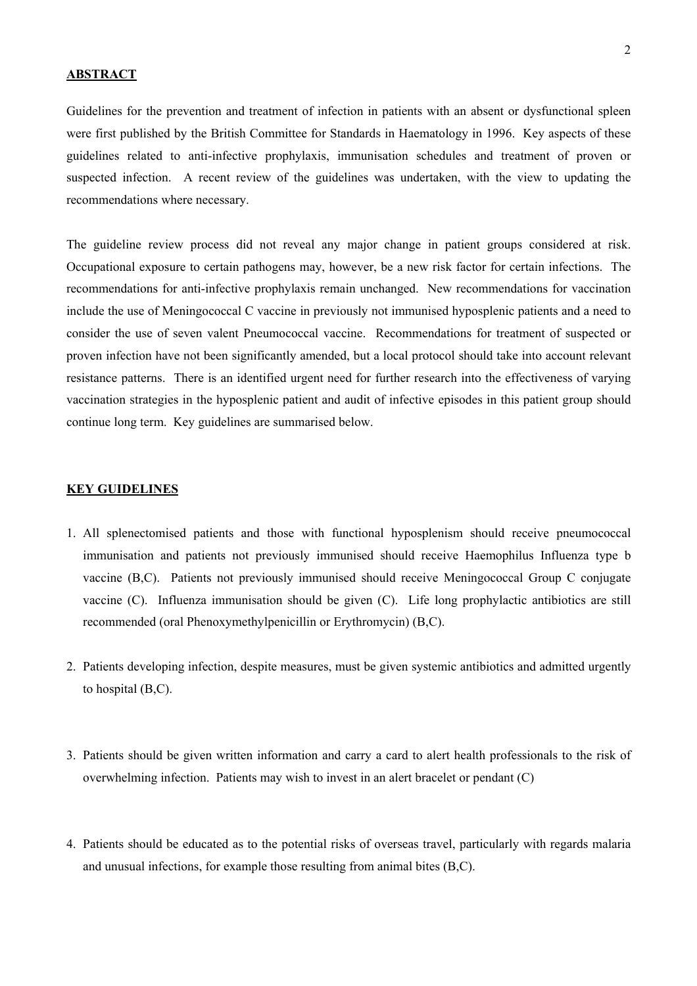## **ABSTRACT**

Guidelines for the prevention and treatment of infection in patients with an absent or dysfunctional spleen were first published by the British Committee for Standards in Haematology in 1996. Key aspects of these guidelines related to anti-infective prophylaxis, immunisation schedules and treatment of proven or suspected infection. A recent review of the guidelines was undertaken, with the view to updating the recommendations where necessary.

The guideline review process did not reveal any major change in patient groups considered at risk. Occupational exposure to certain pathogens may, however, be a new risk factor for certain infections. The recommendations for anti-infective prophylaxis remain unchanged. New recommendations for vaccination include the use of Meningococcal C vaccine in previously not immunised hyposplenic patients and a need to consider the use of seven valent Pneumococcal vaccine. Recommendations for treatment of suspected or proven infection have not been significantly amended, but a local protocol should take into account relevant resistance patterns. There is an identified urgent need for further research into the effectiveness of varying vaccination strategies in the hyposplenic patient and audit of infective episodes in this patient group should continue long term. Key guidelines are summarised below.

#### **KEY GUIDELINES**

- 1. All splenectomised patients and those with functional hyposplenism should receive pneumococcal immunisation and patients not previously immunised should receive Haemophilus Influenza type b vaccine (B,C). Patients not previously immunised should receive Meningococcal Group C conjugate vaccine (C). Influenza immunisation should be given (C). Life long prophylactic antibiotics are still recommended (oral Phenoxymethylpenicillin or Erythromycin) (B,C).
- 2. Patients developing infection, despite measures, must be given systemic antibiotics and admitted urgently to hospital (B,C).
- 3. Patients should be given written information and carry a card to alert health professionals to the risk of overwhelming infection. Patients may wish to invest in an alert bracelet or pendant (C)
- 4. Patients should be educated as to the potential risks of overseas travel, particularly with regards malaria and unusual infections, for example those resulting from animal bites (B,C).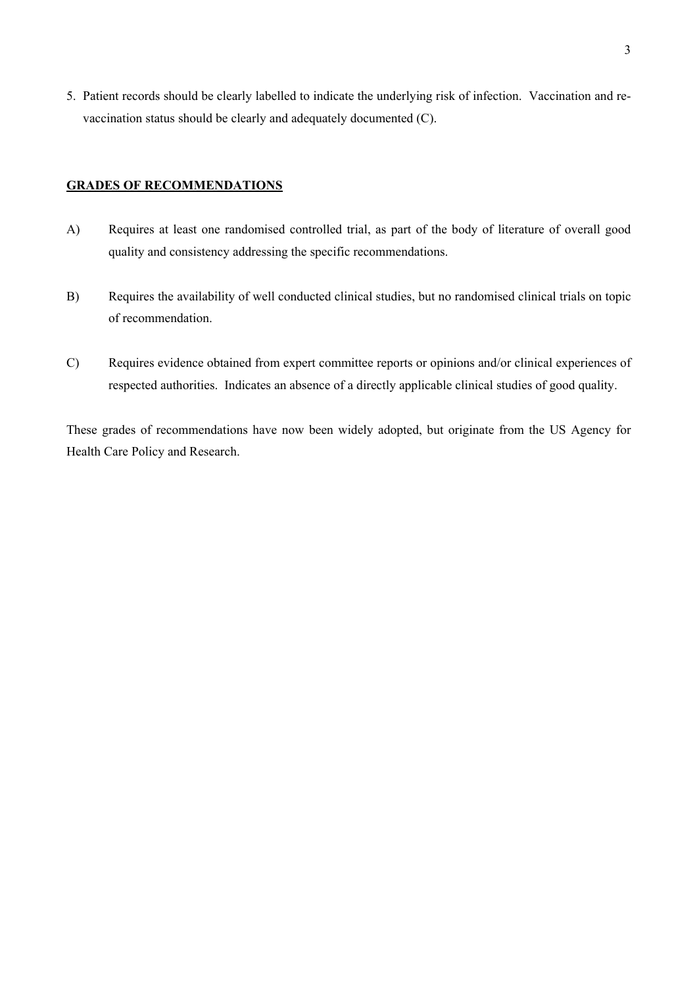5. Patient records should be clearly labelled to indicate the underlying risk of infection. Vaccination and revaccination status should be clearly and adequately documented (C).

## **GRADES OF RECOMMENDATIONS**

- A) Requires at least one randomised controlled trial, as part of the body of literature of overall good quality and consistency addressing the specific recommendations.
- B) Requires the availability of well conducted clinical studies, but no randomised clinical trials on topic of recommendation.
- C) Requires evidence obtained from expert committee reports or opinions and/or clinical experiences of respected authorities. Indicates an absence of a directly applicable clinical studies of good quality.

These grades of recommendations have now been widely adopted, but originate from the US Agency for Health Care Policy and Research.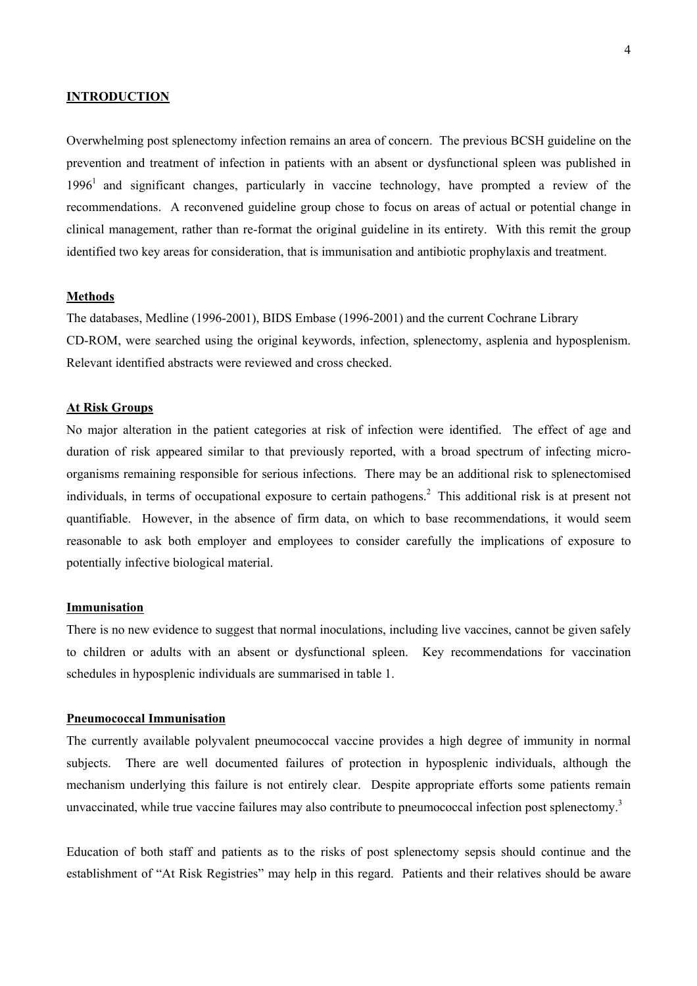## **INTRODUCTION**

Overwhelming post splenectomy infection remains an area of concern. The previous BCSH guideline on the prevention and treatment of infection in patients with an absent or dysfunctional spleen was published in  $1996<sup>1</sup>$  and significant changes, particularly in vaccine technology, have prompted a review of the recommendations. A reconvened guideline group chose to focus on areas of actual or potential change in clinical management, rather than re-format the original guideline in its entirety. With this remit the group identified two key areas for consideration, that is immunisation and antibiotic prophylaxis and treatment.

#### **Methods**

The databases, Medline (1996-2001), BIDS Embase (1996-2001) and the current Cochrane Library CD-ROM, were searched using the original keywords, infection, splenectomy, asplenia and hyposplenism. Relevant identified abstracts were reviewed and cross checked.

#### **At Risk Groups**

No major alteration in the patient categories at risk of infection were identified. The effect of age and duration of risk appeared similar to that previously reported, with a broad spectrum of infecting microorganisms remaining responsible for serious infections. There may be an additional risk to splenectomised individuals, in terms of occupational exposure to certain pathogens.2 This additional risk is at present not quantifiable. However, in the absence of firm data, on which to base recommendations, it would seem reasonable to ask both employer and employees to consider carefully the implications of exposure to potentially infective biological material.

#### **Immunisation**

There is no new evidence to suggest that normal inoculations, including live vaccines, cannot be given safely to children or adults with an absent or dysfunctional spleen. Key recommendations for vaccination schedules in hyposplenic individuals are summarised in table 1.

#### **Pneumococcal Immunisation**

The currently available polyvalent pneumococcal vaccine provides a high degree of immunity in normal subjects. There are well documented failures of protection in hyposplenic individuals, although the mechanism underlying this failure is not entirely clear. Despite appropriate efforts some patients remain unvaccinated, while true vaccine failures may also contribute to pneumococcal infection post splenectomy.<sup>3</sup>

Education of both staff and patients as to the risks of post splenectomy sepsis should continue and the establishment of "At Risk Registries" may help in this regard. Patients and their relatives should be aware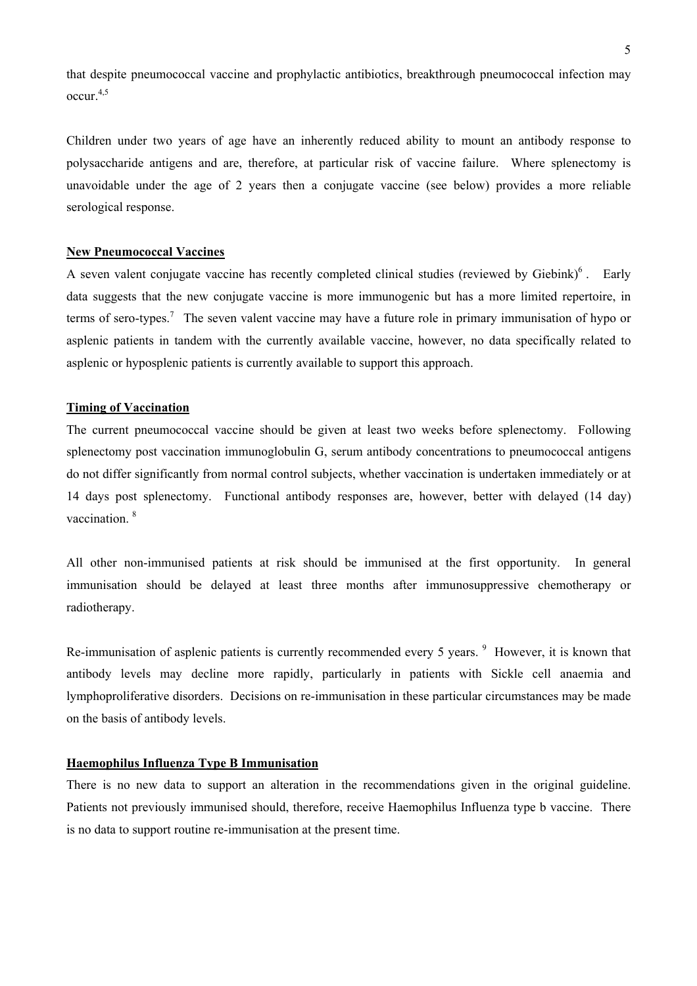that despite pneumococcal vaccine and prophylactic antibiotics, breakthrough pneumococcal infection may occur.4,5

Children under two years of age have an inherently reduced ability to mount an antibody response to polysaccharide antigens and are, therefore, at particular risk of vaccine failure. Where splenectomy is unavoidable under the age of 2 years then a conjugate vaccine (see below) provides a more reliable serological response.

## **New Pneumococcal Vaccines**

A seven valent conjugate vaccine has recently completed clinical studies (reviewed by Giebink) $6$ . Early data suggests that the new conjugate vaccine is more immunogenic but has a more limited repertoire, in terms of sero-types.<sup>7</sup> The seven valent vaccine may have a future role in primary immunisation of hypo or asplenic patients in tandem with the currently available vaccine, however, no data specifically related to asplenic or hyposplenic patients is currently available to support this approach.

## **Timing of Vaccination**

The current pneumococcal vaccine should be given at least two weeks before splenectomy. Following splenectomy post vaccination immunoglobulin G, serum antibody concentrations to pneumococcal antigens do not differ significantly from normal control subjects, whether vaccination is undertaken immediately or at 14 days post splenectomy. Functional antibody responses are, however, better with delayed (14 day) vaccination.<sup>8</sup>

All other non-immunised patients at risk should be immunised at the first opportunity. In general immunisation should be delayed at least three months after immunosuppressive chemotherapy or radiotherapy.

Re-immunisation of asplenic patients is currently recommended every 5 years. <sup>9</sup> However, it is known that antibody levels may decline more rapidly, particularly in patients with Sickle cell anaemia and lymphoproliferative disorders. Decisions on re-immunisation in these particular circumstances may be made on the basis of antibody levels.

## **Haemophilus Influenza Type B Immunisation**

There is no new data to support an alteration in the recommendations given in the original guideline. Patients not previously immunised should, therefore, receive Haemophilus Influenza type b vaccine. There is no data to support routine re-immunisation at the present time.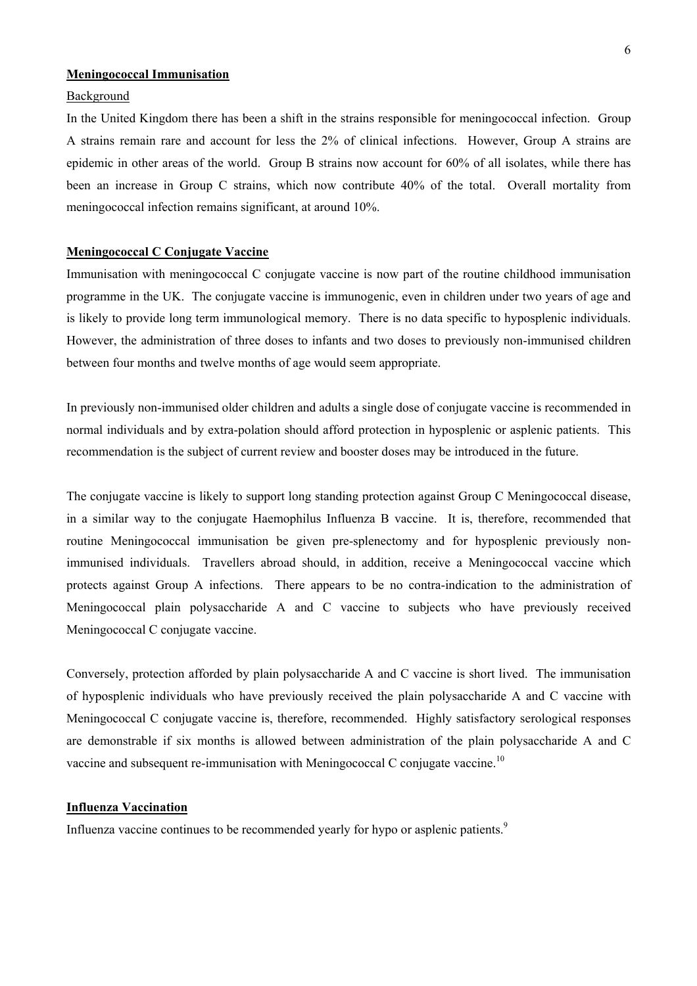## **Meningococcal Immunisation**

#### Background

In the United Kingdom there has been a shift in the strains responsible for meningococcal infection. Group A strains remain rare and account for less the 2% of clinical infections. However, Group A strains are epidemic in other areas of the world. Group B strains now account for 60% of all isolates, while there has been an increase in Group C strains, which now contribute 40% of the total. Overall mortality from meningococcal infection remains significant, at around 10%.

## **Meningococcal C Conjugate Vaccine**

Immunisation with meningococcal C conjugate vaccine is now part of the routine childhood immunisation programme in the UK. The conjugate vaccine is immunogenic, even in children under two years of age and is likely to provide long term immunological memory. There is no data specific to hyposplenic individuals. However, the administration of three doses to infants and two doses to previously non-immunised children between four months and twelve months of age would seem appropriate.

In previously non-immunised older children and adults a single dose of conjugate vaccine is recommended in normal individuals and by extra-polation should afford protection in hyposplenic or asplenic patients. This recommendation is the subject of current review and booster doses may be introduced in the future.

The conjugate vaccine is likely to support long standing protection against Group C Meningococcal disease, in a similar way to the conjugate Haemophilus Influenza B vaccine. It is, therefore, recommended that routine Meningococcal immunisation be given pre-splenectomy and for hyposplenic previously nonimmunised individuals. Travellers abroad should, in addition, receive a Meningococcal vaccine which protects against Group A infections. There appears to be no contra-indication to the administration of Meningococcal plain polysaccharide A and C vaccine to subjects who have previously received Meningococcal C conjugate vaccine.

Conversely, protection afforded by plain polysaccharide A and C vaccine is short lived. The immunisation of hyposplenic individuals who have previously received the plain polysaccharide A and C vaccine with Meningococcal C conjugate vaccine is, therefore, recommended. Highly satisfactory serological responses are demonstrable if six months is allowed between administration of the plain polysaccharide A and C vaccine and subsequent re-immunisation with Meningococcal C conjugate vaccine.<sup>10</sup>

#### **Influenza Vaccination**

Influenza vaccine continues to be recommended yearly for hypo or asplenic patients.<sup>9</sup>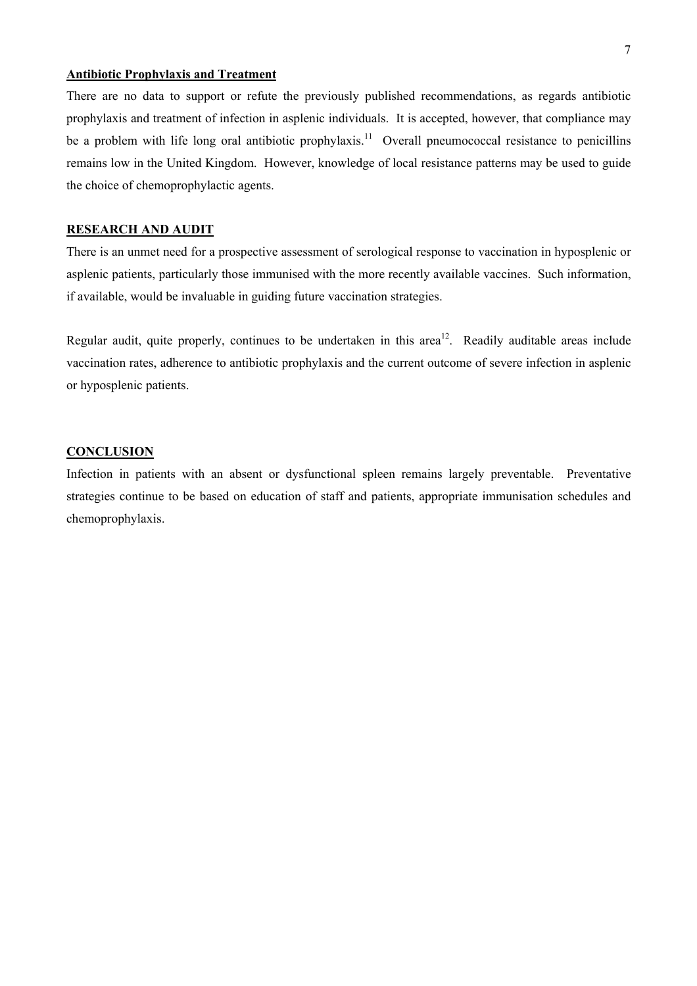## **Antibiotic Prophylaxis and Treatment**

There are no data to support or refute the previously published recommendations, as regards antibiotic prophylaxis and treatment of infection in asplenic individuals. It is accepted, however, that compliance may be a problem with life long oral antibiotic prophylaxis.<sup>11</sup> Overall pneumococcal resistance to penicillins remains low in the United Kingdom. However, knowledge of local resistance patterns may be used to guide the choice of chemoprophylactic agents.

## **RESEARCH AND AUDIT**

There is an unmet need for a prospective assessment of serological response to vaccination in hyposplenic or asplenic patients, particularly those immunised with the more recently available vaccines. Such information, if available, would be invaluable in guiding future vaccination strategies.

Regular audit, quite properly, continues to be undertaken in this area<sup>12</sup>. Readily auditable areas include vaccination rates, adherence to antibiotic prophylaxis and the current outcome of severe infection in asplenic or hyposplenic patients.

#### **CONCLUSION**

Infection in patients with an absent or dysfunctional spleen remains largely preventable. Preventative strategies continue to be based on education of staff and patients, appropriate immunisation schedules and chemoprophylaxis.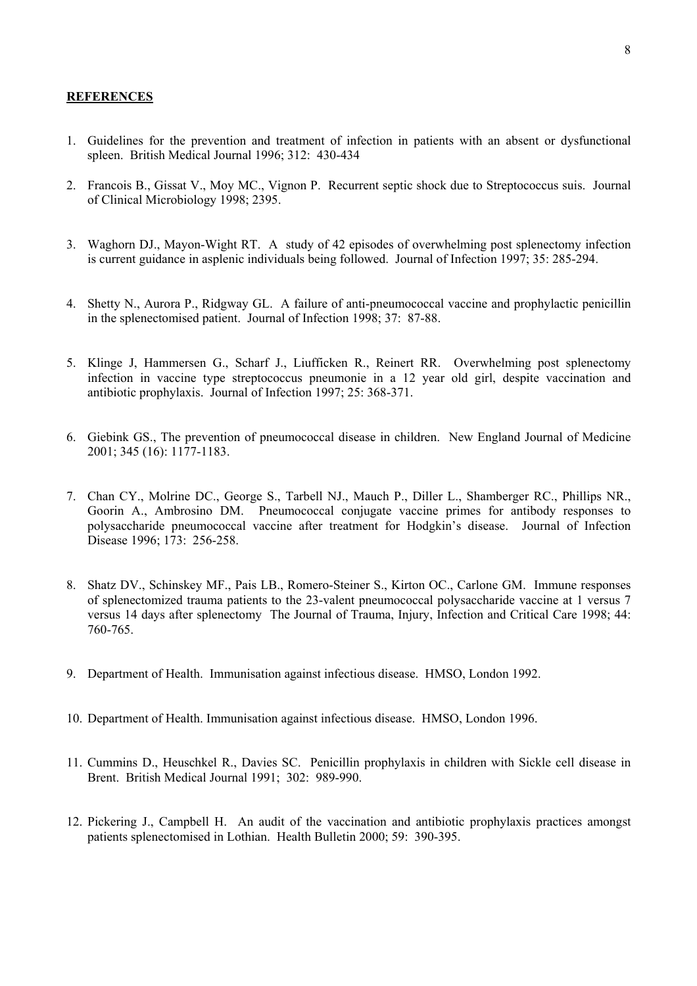#### **REFERENCES**

- 1. Guidelines for the prevention and treatment of infection in patients with an absent or dysfunctional spleen. British Medical Journal 1996; 312: 430-434
- 2. Francois B., Gissat V., Moy MC., Vignon P. Recurrent septic shock due to Streptococcus suis. Journal of Clinical Microbiology 1998; 2395.
- 3. Waghorn DJ., Mayon-Wight RT. A study of 42 episodes of overwhelming post splenectomy infection is current guidance in asplenic individuals being followed. Journal of Infection 1997; 35: 285-294.
- 4. Shetty N., Aurora P., Ridgway GL. A failure of anti-pneumococcal vaccine and prophylactic penicillin in the splenectomised patient. Journal of Infection 1998; 37: 87-88.
- 5. Klinge J, Hammersen G., Scharf J., Liufficken R., Reinert RR. Overwhelming post splenectomy infection in vaccine type streptococcus pneumonie in a 12 year old girl, despite vaccination and antibiotic prophylaxis. Journal of Infection 1997; 25: 368-371.
- 6. Giebink GS., The prevention of pneumococcal disease in children. New England Journal of Medicine 2001; 345 (16): 1177-1183.
- 7. Chan CY., Molrine DC., George S., Tarbell NJ., Mauch P., Diller L., Shamberger RC., Phillips NR., Goorin A., Ambrosino DM. Pneumococcal conjugate vaccine primes for antibody responses to polysaccharide pneumococcal vaccine after treatment for Hodgkin's disease. Journal of Infection Disease 1996; 173: 256-258.
- 8. Shatz DV., Schinskey MF., Pais LB., Romero-Steiner S., Kirton OC., Carlone GM. Immune responses of splenectomized trauma patients to the 23-valent pneumococcal polysaccharide vaccine at 1 versus 7 versus 14 days after splenectomy The Journal of Trauma, Injury, Infection and Critical Care 1998; 44: 760-765.
- 9. Department of Health. Immunisation against infectious disease. HMSO, London 1992.
- 10. Department of Health. Immunisation against infectious disease. HMSO, London 1996.
- 11. Cummins D., Heuschkel R., Davies SC. Penicillin prophylaxis in children with Sickle cell disease in Brent. British Medical Journal 1991; 302: 989-990.
- 12. Pickering J., Campbell H. An audit of the vaccination and antibiotic prophylaxis practices amongst patients splenectomised in Lothian. Health Bulletin 2000; 59: 390-395.